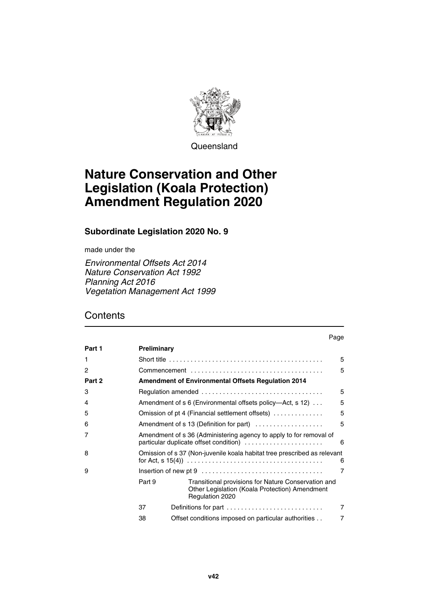

**Queensland** 

# **Nature Conservation and Other Legislation (Koala Protection) Amendment Regulation 2020**

#### **Subordinate Legislation 2020 No. 9**

made under the

*Environmental Offsets Act 2014 Nature Conservation Act 1992 Planning Act 2016 Vegetation Management Act 1999*

## **Contents**

|        |                                                                                                                   | . uyu                                                                                                                    |   |
|--------|-------------------------------------------------------------------------------------------------------------------|--------------------------------------------------------------------------------------------------------------------------|---|
| Part 1 | Preliminary                                                                                                       |                                                                                                                          |   |
| 1      |                                                                                                                   |                                                                                                                          | 5 |
| 2      |                                                                                                                   |                                                                                                                          | 5 |
| Part 2 | <b>Amendment of Environmental Offsets Regulation 2014</b>                                                         |                                                                                                                          |   |
| 3      |                                                                                                                   |                                                                                                                          | 5 |
| 4      |                                                                                                                   | Amendment of s 6 (Environmental offsets policy—Act, s 12)                                                                | 5 |
| 5      |                                                                                                                   | Omission of pt 4 (Financial settlement offsets)                                                                          | 5 |
| 6      | 5<br>Amendment of s 13 (Definition for part)                                                                      |                                                                                                                          |   |
| 7      | Amendment of s 36 (Administering agency to apply to for removal of<br>particular duplicate offset condition)<br>6 |                                                                                                                          |   |
| 8      | Omission of s 37 (Non-juvenile koala habitat tree prescribed as relevant<br>6                                     |                                                                                                                          |   |
| 9      |                                                                                                                   |                                                                                                                          | 7 |
|        | Part 9                                                                                                            | Transitional provisions for Nature Conservation and<br>Other Legislation (Koala Protection) Amendment<br>Regulation 2020 |   |
|        | 37                                                                                                                | Definitions for part                                                                                                     | 7 |
|        | 38                                                                                                                | Offset conditions imposed on particular authorities                                                                      | 7 |

Page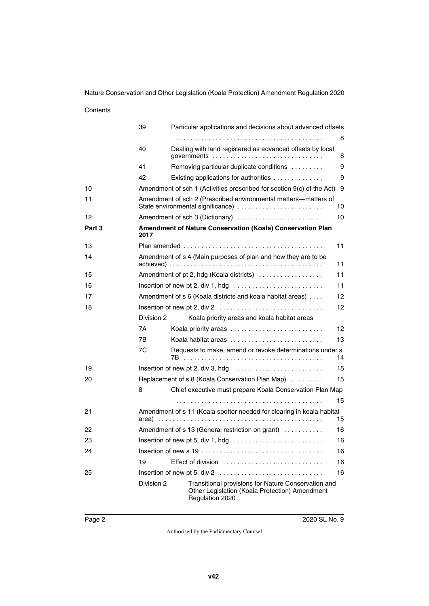#### **Contents**

|        | 39                                                     | Particular applications and decisions about advanced offsets                                                             | 8  |
|--------|--------------------------------------------------------|--------------------------------------------------------------------------------------------------------------------------|----|
|        | 40                                                     | Dealing with land registered as advanced offsets by local                                                                | 8  |
|        | 41                                                     | Removing particular duplicate conditions                                                                                 | 9  |
|        | 42                                                     | Existing applications for authorities                                                                                    | 9  |
| 10     |                                                        | Amendment of sch 1 (Activities prescribed for section 9(c) of the Act)                                                   | 9  |
| 11     |                                                        | Amendment of sch 2 (Prescribed environmental matters-matters of<br>State environmental significance)                     | 10 |
| 12     |                                                        | Amendment of sch 3 (Dictionary)                                                                                          | 10 |
| Part 3 | 2017                                                   | Amendment of Nature Conservation (Koala) Conservation Plan                                                               |    |
| 13     |                                                        |                                                                                                                          | 11 |
| 14     |                                                        | Amendment of s 4 (Main purposes of plan and how they are to be                                                           | 11 |
| 15     |                                                        | Amendment of pt 2, hdg (Koala districts)                                                                                 | 11 |
| 16     |                                                        |                                                                                                                          | 11 |
| 17     |                                                        | Amendment of s 6 (Koala districts and koala habitat areas)                                                               | 12 |
| 18     |                                                        |                                                                                                                          | 12 |
|        | Division 2                                             | Koala priority areas and koala habitat areas                                                                             |    |
|        | 7A                                                     | Koala priority areas                                                                                                     | 12 |
|        | 7B                                                     | Koala habitat areas                                                                                                      | 13 |
|        | 7C                                                     | Requests to make, amend or revoke determinations under s                                                                 | 14 |
| 19     |                                                        |                                                                                                                          | 15 |
| 20     |                                                        | Replacement of s 8 (Koala Conservation Plan Map)                                                                         | 15 |
|        | 8                                                      | Chief executive must prepare Koala Conservation Plan Map                                                                 |    |
|        |                                                        |                                                                                                                          | 15 |
| 21     |                                                        | Amendment of s 11 (Koala spotter needed for clearing in koala habitat                                                    | 15 |
| 22     | Amendment of s 13 (General restriction on grant)<br>16 |                                                                                                                          |    |
| 23     | Insertion of new pt 5, div 1, hdg<br>16                |                                                                                                                          |    |
| 24     | 16                                                     |                                                                                                                          |    |
|        | 19                                                     | Effect of division                                                                                                       | 16 |
| 25     |                                                        |                                                                                                                          | 16 |
|        | Division 2                                             | Transitional provisions for Nature Conservation and<br>Other Legislation (Koala Protection) Amendment<br>Regulation 2020 |    |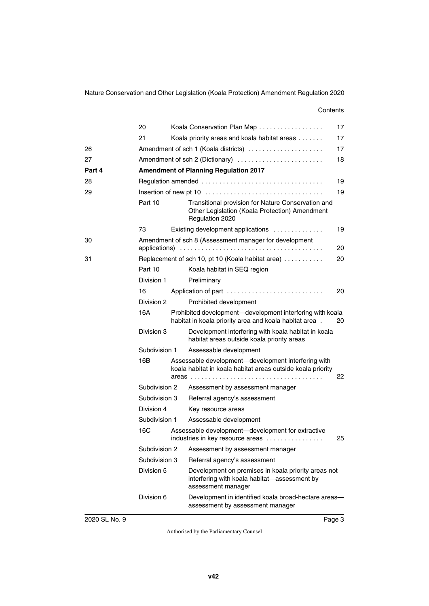#### **Contents**

|        | 20            | Koala Conservation Plan Map                                                                                               | 17 |
|--------|---------------|---------------------------------------------------------------------------------------------------------------------------|----|
|        | 21            | Koala priority areas and koala habitat areas                                                                              | 17 |
| 26     |               | Amendment of sch 1 (Koala districts)                                                                                      | 17 |
| 27     |               | Amendment of sch 2 (Dictionary)                                                                                           | 18 |
| Part 4 |               | <b>Amendment of Planning Regulation 2017</b>                                                                              |    |
| 28     |               |                                                                                                                           | 19 |
| 29     |               |                                                                                                                           | 19 |
|        | Part 10       | Transitional provision for Nature Conservation and<br>Other Legislation (Koala Protection) Amendment<br>Regulation 2020   |    |
|        | 73            | Existing development applications                                                                                         | 19 |
| 30     |               | Amendment of sch 8 (Assessment manager for development                                                                    | 20 |
| 31     |               | Replacement of sch 10, pt 10 (Koala habitat area)                                                                         | 20 |
|        | Part 10       | Koala habitat in SEQ region                                                                                               |    |
|        | Division 1    | Preliminary                                                                                                               |    |
|        | 16            | Application of part                                                                                                       | 20 |
|        | Division 2    | Prohibited development                                                                                                    |    |
|        | 16A           | Prohibited development—development interfering with koala<br>habitat in koala priority area and koala habitat area.       | 20 |
|        | Division 3    | Development interfering with koala habitat in koala<br>habitat areas outside koala priority areas                         |    |
|        | Subdivision 1 | Assessable development                                                                                                    |    |
|        | 16B           | Assessable development-development interfering with<br>koala habitat in koala habitat areas outside koala priority        |    |
|        |               |                                                                                                                           | 22 |
|        | Subdivision 2 | Assessment by assessment manager                                                                                          |    |
|        | Subdivision 3 | Referral agency's assessment                                                                                              |    |
|        | Division 4    | Key resource areas                                                                                                        |    |
|        | Subdivision 1 | Assessable development                                                                                                    |    |
|        | 16C           | Assessable development-development for extractive<br>industries in key resource areas                                     | 25 |
|        | Subdivision 2 | Assessment by assessment manager                                                                                          |    |
|        | Subdivision 3 | Referral agency's assessment                                                                                              |    |
|        | Division 5    | Development on premises in koala priority areas not<br>interfering with koala habitat-assessment by<br>assessment manager |    |
|        | Division 6    | Development in identified koala broad-hectare areas-<br>assessment by assessment manager                                  |    |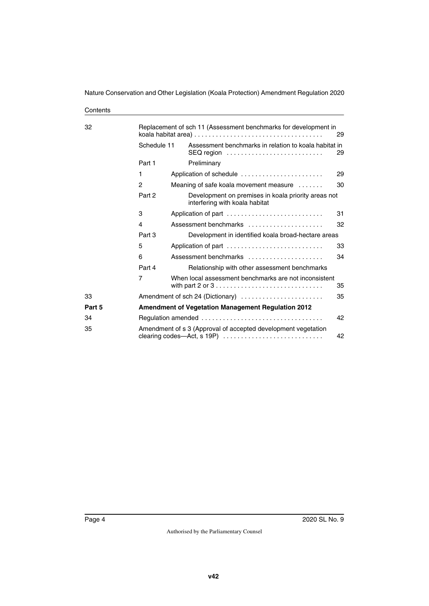**Contents** 

| 32     | Replacement of sch 11 (Assessment benchmarks for development in |  |                                                                                       | 29 |
|--------|-----------------------------------------------------------------|--|---------------------------------------------------------------------------------------|----|
|        | Schedule 11                                                     |  | Assessment benchmarks in relation to koala habitat in<br>SEQ region                   | 29 |
|        | Part 1                                                          |  | Preliminary                                                                           |    |
|        | 1                                                               |  | Application of schedule                                                               | 29 |
|        | 2                                                               |  | Meaning of safe koala movement measure                                                | 30 |
|        | Part 2                                                          |  | Development on premises in koala priority areas not<br>interfering with koala habitat |    |
|        | 3                                                               |  | Application of part                                                                   | 31 |
|        | 4                                                               |  | Assessment benchmarks                                                                 | 32 |
|        | Part 3                                                          |  | Development in identified koala broad-hectare areas                                   |    |
|        | 5                                                               |  | Application of part                                                                   | 33 |
|        | 6                                                               |  | Assessment benchmarks                                                                 | 34 |
|        | Part 4                                                          |  | Relationship with other assessment benchmarks                                         |    |
|        | 7                                                               |  | When local assessment benchmarks are not inconsistent                                 | 35 |
| 33     |                                                                 |  | Amendment of sch 24 (Dictionary)                                                      | 35 |
| Part 5 | <b>Amendment of Vegetation Management Regulation 2012</b>       |  |                                                                                       |    |
| 34     |                                                                 |  | 42                                                                                    |    |
| 35     |                                                                 |  | Amendment of s 3 (Approval of accepted development vegetation                         | 42 |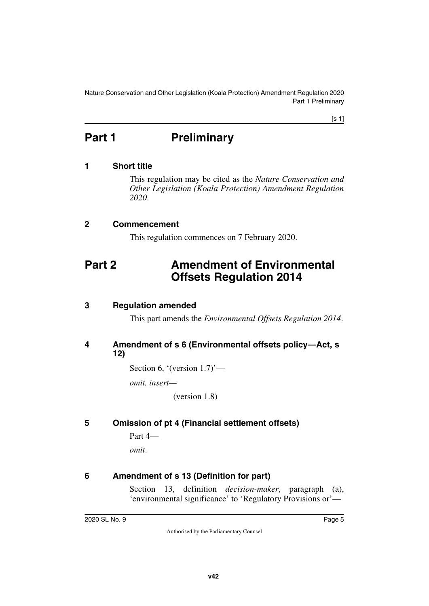Nature Conservation and Other Legislation (Koala Protection) Amendment Regulation 2020 Part 1 Preliminary

[s 1]

# <span id="page-4-0"></span>**Part 1** Preliminary

#### <span id="page-4-2"></span>**1 Short title**

<span id="page-4-3"></span><span id="page-4-1"></span>This regulation may be cited as the *Nature Conservation and Other Legislation (Koala Protection) Amendment Regulation 2020*.

#### <span id="page-4-4"></span>**2 Commencement**

<span id="page-4-7"></span><span id="page-4-5"></span>This regulation commences on 7 February 2020.

## <span id="page-4-6"></span>**Part 2 Amendment of Environmental Offsets Regulation 2014**

#### <span id="page-4-8"></span>**3 Regulation amended**

<span id="page-4-11"></span><span id="page-4-9"></span>This part amends the *Environmental Offsets Regulation 2014*.

#### <span id="page-4-10"></span>**4 Amendment of s 6 (Environmental offsets policy—Act, s 12)**

Section 6, '(version 1.7)'—

*omit, insert—*

(version 1.8)

#### <span id="page-4-12"></span>**5 Omission of pt 4 (Financial settlement offsets)**

<span id="page-4-13"></span>Part 4 *omit*.

#### <span id="page-4-14"></span>**6 Amendment of s 13 (Definition for part)**

<span id="page-4-15"></span>Section 13, definition *decision-maker*, paragraph (a), 'environmental significance' to 'Regulatory Provisions or'—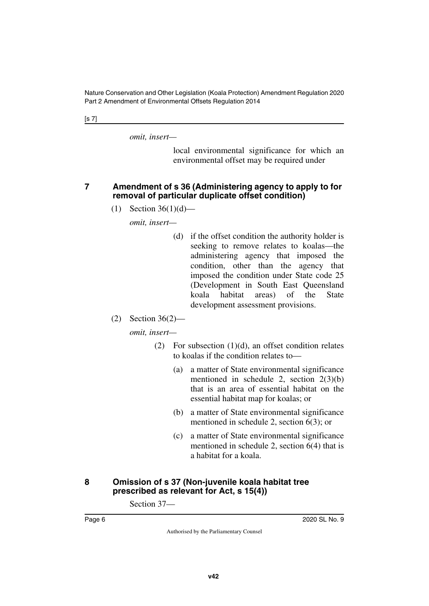[s 7]

*omit, insert—*

local environmental significance for which an environmental offset may be required under

#### <span id="page-5-1"></span><span id="page-5-0"></span>**7 Amendment of s 36 (Administering agency to apply to for removal of particular duplicate offset condition)**

(1) Section  $36(1)(d)$ —

*omit, insert—*

- (d) if the offset condition the authority holder is seeking to remove relates to koalas—the administering agency that imposed the condition, other than the agency that imposed the condition under State code 25 (Development in South East Queensland koala habitat areas) of the State development assessment provisions.
- (2) Section 36(2)—

*omit, insert—*

- (2) For subsection  $(1)(d)$ , an offset condition relates to koalas if the condition relates to—
	- (a) a matter of State environmental significance mentioned in schedule 2, section 2(3)(b) that is an area of essential habitat on the essential habitat map for koalas; or
	- (b) a matter of State environmental significance mentioned in schedule 2, section 6(3); or
	- (c) a matter of State environmental significance mentioned in schedule 2, section 6(4) that is a habitat for a koala.

#### <span id="page-5-3"></span><span id="page-5-2"></span>**8 Omission of s 37 (Non-juvenile koala habitat tree prescribed as relevant for Act, s 15(4))**

Section 37—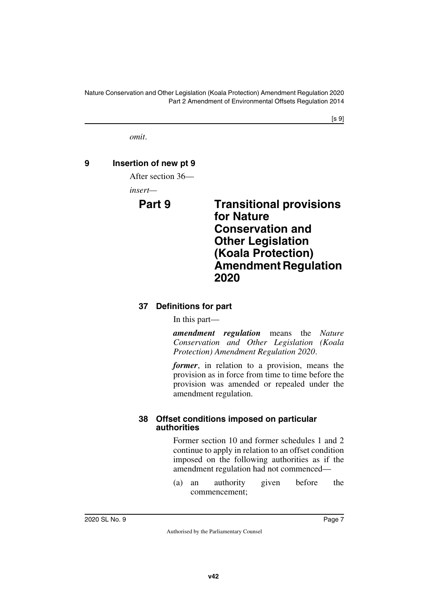$[s 9]$ 

<span id="page-6-1"></span>*omit*.

## <span id="page-6-0"></span>**9 Insertion of new pt 9**

After section 36—

*insert—*

## <span id="page-6-3"></span><span id="page-6-2"></span>**Part 9 Transitional provisions for Nature Conservation and Other Legislation (Koala Protection) Amendment Regulation 2020**

## <span id="page-6-5"></span><span id="page-6-4"></span>**37 Definitions for part**

In this part—

*amendment regulation* means the *Nature Conservation and Other Legislation (Koala Protection) Amendment Regulation 2020*.

*former*, in relation to a provision, means the provision as in force from time to time before the provision was amended or repealed under the amendment regulation.

#### <span id="page-6-7"></span><span id="page-6-6"></span>**38 Offset conditions imposed on particular authorities**

Former section 10 and former schedules 1 and 2 continue to apply in relation to an offset condition imposed on the following authorities as if the amendment regulation had not commenced—

(a) an authority given before the commencement;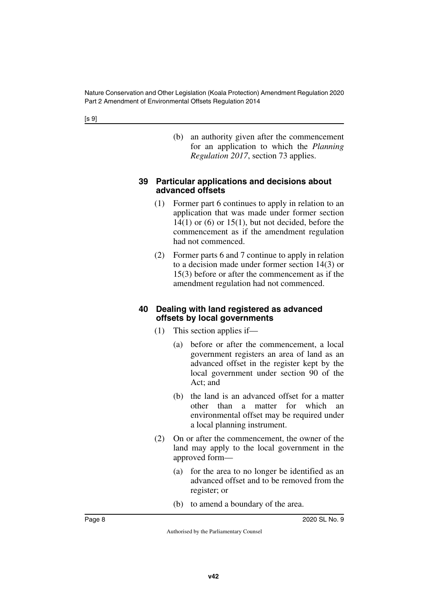(b) an authority given after the commencement for an application to which the *Planning Regulation 2017*, section 73 applies.

#### <span id="page-7-1"></span><span id="page-7-0"></span>**39 Particular applications and decisions about advanced offsets**

- (1) Former part 6 continues to apply in relation to an application that was made under former section  $14(1)$  or  $(6)$  or  $15(1)$ , but not decided, before the commencement as if the amendment regulation had not commenced.
- (2) Former parts 6 and 7 continue to apply in relation to a decision made under former section 14(3) or 15(3) before or after the commencement as if the amendment regulation had not commenced.

#### <span id="page-7-3"></span><span id="page-7-2"></span>**40 Dealing with land registered as advanced offsets by local governments**

- (1) This section applies if—
	- (a) before or after the commencement, a local government registers an area of land as an advanced offset in the register kept by the local government under section 90 of the Act; and
	- (b) the land is an advanced offset for a matter other than a matter for which an environmental offset may be required under a local planning instrument.
- (2) On or after the commencement, the owner of the land may apply to the local government in the approved form—
	- (a) for the area to no longer be identified as an advanced offset and to be removed from the register; or
	- (b) to amend a boundary of the area.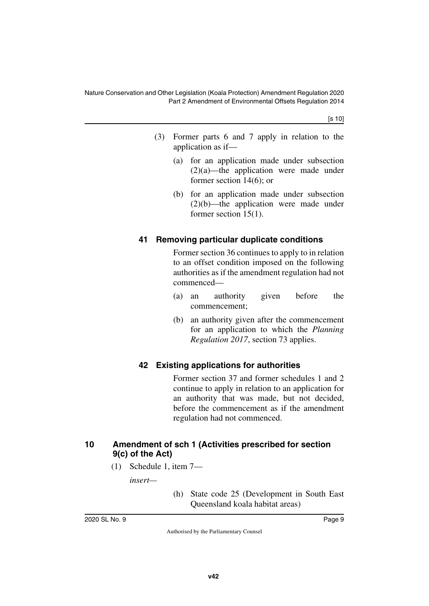[s 10]

- (3) Former parts 6 and 7 apply in relation to the application as if—
	- (a) for an application made under subsection (2)(a)—the application were made under former section 14(6); or
	- (b) for an application made under subsection (2)(b)—the application were made under former section 15(1).

### <span id="page-8-1"></span><span id="page-8-0"></span>**41 Removing particular duplicate conditions**

Former section 36 continues to apply to in relation to an offset condition imposed on the following authorities as if the amendment regulation had not commenced—

- (a) an authority given before the commencement;
- (b) an authority given after the commencement for an application to which the *Planning Regulation 2017*, section 73 applies.

#### <span id="page-8-3"></span><span id="page-8-2"></span>**42 Existing applications for authorities**

Former section 37 and former schedules 1 and 2 continue to apply in relation to an application for an authority that was made, but not decided, before the commencement as if the amendment regulation had not commenced.

#### <span id="page-8-5"></span><span id="page-8-4"></span>**10 Amendment of sch 1 (Activities prescribed for section 9(c) of the Act)**

(1) Schedule 1, item 7—

*insert—*

(h) State code 25 (Development in South East Queensland koala habitat areas)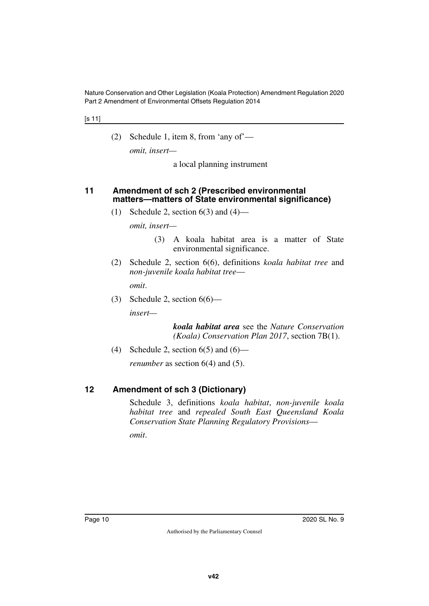#### [s 11]

(2) Schedule 1, item 8, from 'any of'—

*omit, insert—*

a local planning instrument

#### <span id="page-9-1"></span><span id="page-9-0"></span>**11 Amendment of sch 2 (Prescribed environmental matters—matters of State environmental significance)**

(1) Schedule 2, section  $6(3)$  and  $(4)$ —

*omit, insert—*

- (3) A koala habitat area is a matter of State environmental significance.
- (2) Schedule 2, section 6(6), definitions *koala habitat tree* and *non-juvenile koala habitat tree omit*.
- (3) Schedule 2, section  $6(6)$ —

*insert—*

*koala habitat area* see the *Nature Conservation (Koala) Conservation Plan 2017*, section 7B(1).

(4) Schedule 2, section  $6(5)$  and  $(6)$ —

<span id="page-9-3"></span>*renumber* as section 6(4) and (5).

#### <span id="page-9-2"></span>**12 Amendment of sch 3 (Dictionary)**

Schedule 3, definitions *koala habitat*, *non-juvenile koala habitat tree* and *repealed South East Queensland Koala Conservation State Planning Regulatory Provisions*—

*omit*.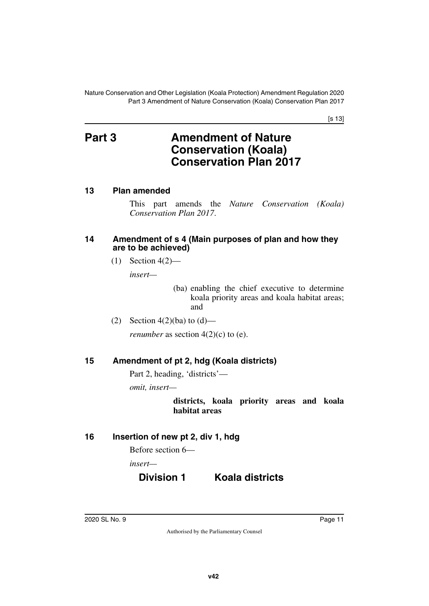[s 13]

# <span id="page-10-1"></span><span id="page-10-0"></span>**Part 3 Amendment of Nature Conservation (Koala) Conservation Plan 2017**

#### <span id="page-10-2"></span>**13 Plan amended**

<span id="page-10-3"></span>This part amends the *Nature Conservation (Koala) Conservation Plan 2017*.

#### <span id="page-10-5"></span><span id="page-10-4"></span>**14 Amendment of s 4 (Main purposes of plan and how they are to be achieved)**

 $(1)$  Section 4(2)—

*insert—*

(ba) enabling the chief executive to determine koala priority areas and koala habitat areas; and

(2) Section  $4(2)(ba)$  to  $(d)$ —

<span id="page-10-7"></span>*renumber* as section  $4(2)(c)$  to  $(e)$ .

#### <span id="page-10-6"></span>**15 Amendment of pt 2, hdg (Koala districts)**

Part 2, heading, 'districts'—

*omit, insert—*

**districts, koala priority areas and koala habitat areas**

#### <span id="page-10-8"></span>**16 Insertion of new pt 2, div 1, hdg**

<span id="page-10-9"></span>Before section 6—

*insert—*

## **Division 1 Koala districts**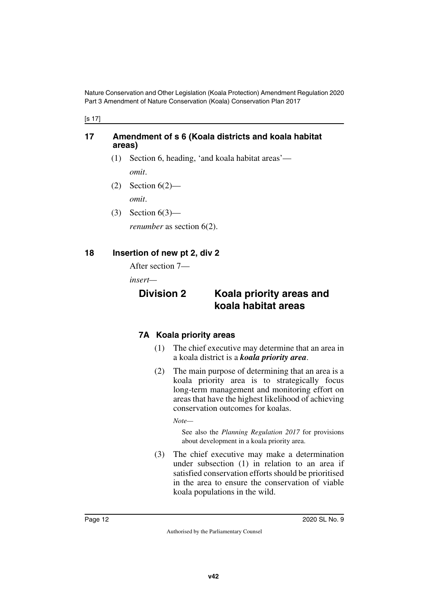[s 17]

#### <span id="page-11-1"></span><span id="page-11-0"></span>**17 Amendment of s 6 (Koala districts and koala habitat areas)**

- (1) Section 6, heading, 'and koala habitat areas' *omit*.
- $(2)$  Section  $6(2)$ —

*omit*.

(3) Section 6(3)—

<span id="page-11-3"></span>*renumber* as section 6(2).

### <span id="page-11-2"></span>**18 Insertion of new pt 2, div 2**

After section 7—

*insert—*

## <span id="page-11-5"></span><span id="page-11-4"></span>**Division 2 Koala priority areas and koala habitat areas**

## <span id="page-11-7"></span><span id="page-11-6"></span>**7A Koala priority areas**

- (1) The chief executive may determine that an area in a koala district is a *koala priority area*.
- (2) The main purpose of determining that an area is a koala priority area is to strategically focus long-term management and monitoring effort on areas that have the highest likelihood of achieving conservation outcomes for koalas.

*Note—*

See also the *Planning Regulation 2017* for provisions about development in a koala priority area.

(3) The chief executive may make a determination under subsection (1) in relation to an area if satisfied conservation efforts should be prioritised in the area to ensure the conservation of viable koala populations in the wild.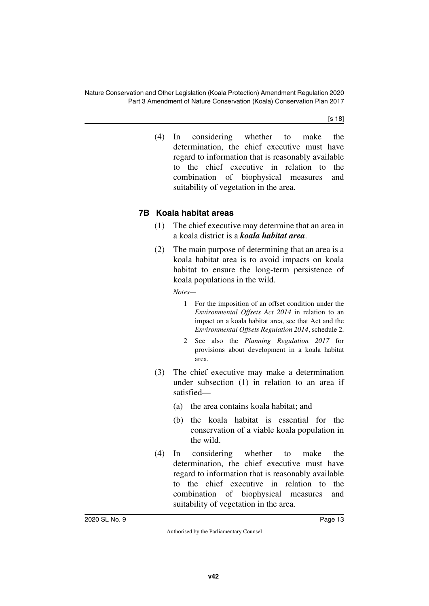[s 18]

(4) In considering whether to make the determination, the chief executive must have regard to information that is reasonably available to the chief executive in relation to the combination of biophysical measures and suitability of vegetation in the area.

#### <span id="page-12-1"></span><span id="page-12-0"></span>**7B Koala habitat areas**

- (1) The chief executive may determine that an area in a koala district is a *koala habitat area*.
- (2) The main purpose of determining that an area is a koala habitat area is to avoid impacts on koala habitat to ensure the long-term persistence of koala populations in the wild.

*Notes—*

- 1 For the imposition of an offset condition under the *Environmental Offsets Act 2014* in relation to an impact on a koala habitat area, see that Act and the *Environmental Offsets Regulation 2014*, schedule 2.
- 2 See also the *Planning Regulation 2017* for provisions about development in a koala habitat area.
- (3) The chief executive may make a determination under subsection (1) in relation to an area if satisfied—
	- (a) the area contains koala habitat; and
	- (b) the koala habitat is essential for the conservation of a viable koala population in the wild.
- (4) In considering whether to make the determination, the chief executive must have regard to information that is reasonably available to the chief executive in relation to the combination of biophysical measures and suitability of vegetation in the area.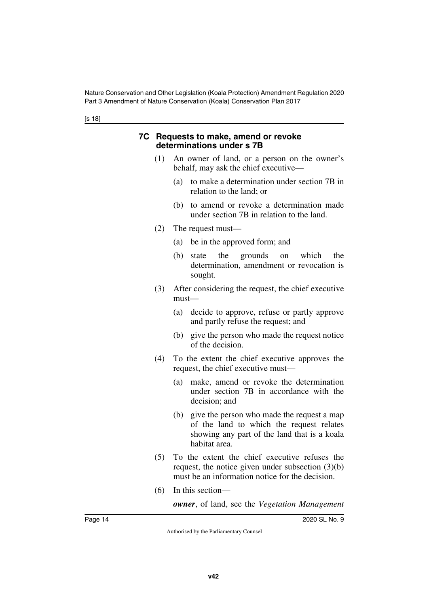[s 18]

#### <span id="page-13-1"></span><span id="page-13-0"></span>**7C Requests to make, amend or revoke determinations under s 7B**

- (1) An owner of land, or a person on the owner's behalf, may ask the chief executive—
	- (a) to make a determination under section 7B in relation to the land; or
	- (b) to amend or revoke a determination made under section 7B in relation to the land.
- (2) The request must—
	- (a) be in the approved form; and
	- (b) state the grounds on which the determination, amendment or revocation is sought.
- (3) After considering the request, the chief executive must—
	- (a) decide to approve, refuse or partly approve and partly refuse the request; and
	- (b) give the person who made the request notice of the decision.
- (4) To the extent the chief executive approves the request, the chief executive must—
	- (a) make, amend or revoke the determination under section 7B in accordance with the decision; and
	- (b) give the person who made the request a map of the land to which the request relates showing any part of the land that is a koala habitat area.
- (5) To the extent the chief executive refuses the request, the notice given under subsection (3)(b) must be an information notice for the decision.
- (6) In this section—

*owner*, of land, see the *Vegetation Management*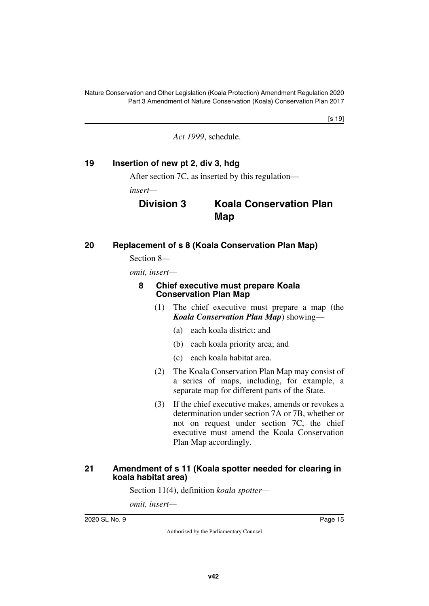[s 19]

*Act 1999*, schedule.

### <span id="page-14-0"></span>**19 Insertion of new pt 2, div 3, hdg**

<span id="page-14-1"></span>After section 7C, as inserted by this regulation—

*insert—*

## **Division 3 Koala Conservation Plan Map**

#### <span id="page-14-2"></span>**20 Replacement of s 8 (Koala Conservation Plan Map)**

<span id="page-14-3"></span>Section 8*—*

*omit, insert—*

#### <span id="page-14-5"></span><span id="page-14-4"></span>**8 Chief executive must prepare Koala Conservation Plan Map**

- (1) The chief executive must prepare a map (the *Koala Conservation Plan Map*) showing—
	- (a) each koala district; and
	- (b) each koala priority area; and
	- (c) each koala habitat area.
- (2) The Koala Conservation Plan Map may consist of a series of maps, including, for example, a separate map for different parts of the State.
- (3) If the chief executive makes, amends or revokes a determination under section 7A or 7B, whether or not on request under section 7C, the chief executive must amend the Koala Conservation Plan Map accordingly.

#### <span id="page-14-7"></span><span id="page-14-6"></span>**21 Amendment of s 11 (Koala spotter needed for clearing in koala habitat area)**

Section 11(4), definition *koala spotter—*

*omit, insert—*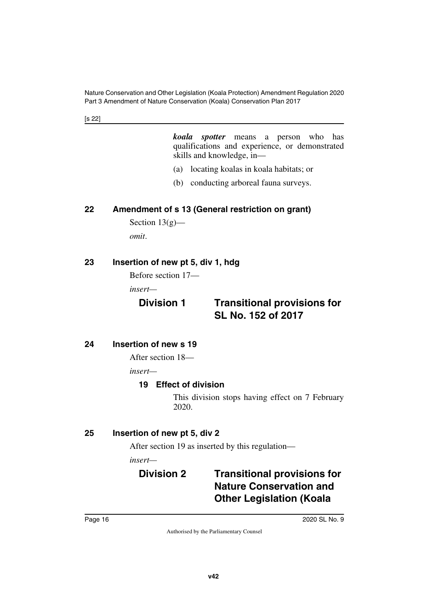[s 22]

*koala spotter* means a person who has qualifications and experience, or demonstrated skills and knowledge, in—

- (a) locating koalas in koala habitats; or
- (b) conducting arboreal fauna surveys.

#### <span id="page-15-0"></span>**22 Amendment of s 13 (General restriction on grant)**

<span id="page-15-1"></span>Section  $13(g)$  *omit*.

#### <span id="page-15-2"></span>**23 Insertion of new pt 5, div 1, hdg**

<span id="page-15-3"></span>Before section 17—

*insert—*

## **Division 1 Transitional provisions for SL No. 152 of 2017**

#### <span id="page-15-4"></span>**24 Insertion of new s 19**

<span id="page-15-5"></span>After section 18—

*insert—*

#### <span id="page-15-7"></span><span id="page-15-6"></span>**19 Effect of division**

This division stops having effect on 7 February 2020.

#### <span id="page-15-8"></span>**25 Insertion of new pt 5, div 2**

<span id="page-15-9"></span>After section 19 as inserted by this regulation—

*insert—*

## <span id="page-15-11"></span><span id="page-15-10"></span>**Division 2 Transitional provisions for Nature Conservation and Other Legislation (Koala**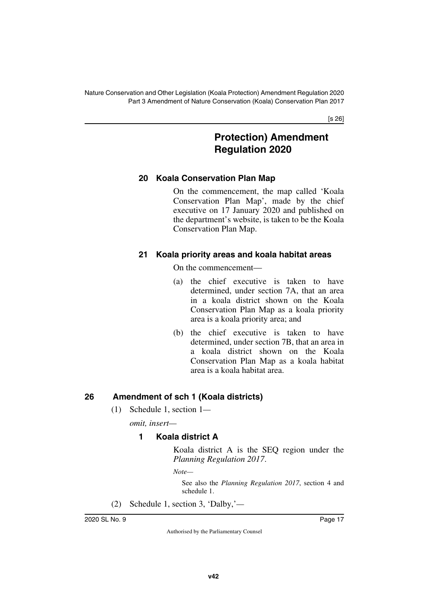[s 26]

## **Protection) Amendment Regulation 2020**

#### <span id="page-16-1"></span><span id="page-16-0"></span>**20 Koala Conservation Plan Map**

On the commencement, the map called 'Koala Conservation Plan Map', made by the chief executive on 17 January 2020 and published on the department's website, is taken to be the Koala Conservation Plan Map.

#### <span id="page-16-3"></span><span id="page-16-2"></span>**21 Koala priority areas and koala habitat areas**

On the commencement—

- (a) the chief executive is taken to have determined, under section 7A, that an area in a koala district shown on the Koala Conservation Plan Map as a koala priority area is a koala priority area; and
- (b) the chief executive is taken to have determined, under section 7B, that an area in a koala district shown on the Koala Conservation Plan Map as a koala habitat area is a koala habitat area.

#### <span id="page-16-4"></span>**26 Amendment of sch 1 (Koala districts)**

<span id="page-16-5"></span>(1) Schedule 1, section 1*—*

*omit, insert—*

#### **1 Koala district A**

Koala district A is the SEQ region under the *Planning Regulation 2017*.

*Note—*

See also the *Planning Regulation 2017*, section 4 and schedule 1.

(2) Schedule 1, section 3, 'Dalby,'*—*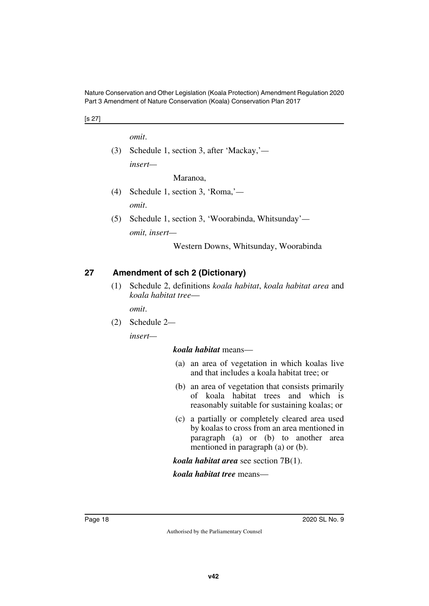[s 27]

*omit*.

(3) Schedule 1, section 3, after 'Mackay,' *insert—*

Maranoa,

- (4) Schedule 1, section 3, 'Roma,' *omit*.
- (5) Schedule 1, section 3, 'Woorabinda, Whitsunday' *omit, insert—*

Western Downs, Whitsunday, Woorabinda

#### <span id="page-17-0"></span>**27 Amendment of sch 2 (Dictionary)**

<span id="page-17-1"></span>(1) Schedule 2, definitions *koala habitat*, *koala habitat area* and *koala habitat tree*—

*omit*.

(2) Schedule 2*—*

*insert—*

*koala habitat* means—

- (a) an area of vegetation in which koalas live and that includes a koala habitat tree; or
- (b) an area of vegetation that consists primarily of koala habitat trees and which is reasonably suitable for sustaining koalas; or
- (c) a partially or completely cleared area used by koalas to cross from an area mentioned in paragraph (a) or (b) to another area mentioned in paragraph (a) or (b).

*koala habitat area* see section 7B(1).

*koala habitat tree* means—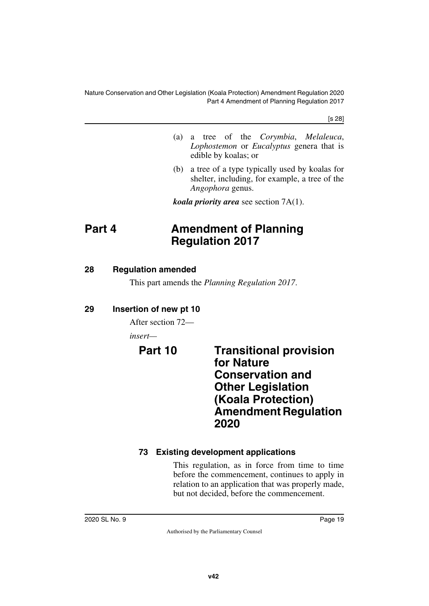[s 28]

- (a) a tree of the *Corymbia*, *Melaleuca*, *Lophostemon* or *Eucalyptus* genera that is edible by koalas; or
- (b) a tree of a type typically used by koalas for shelter, including, for example, a tree of the *Angophora* genus.

<span id="page-18-1"></span>*koala priority area* see section 7A(1).

## <span id="page-18-0"></span>**Part 4 Amendment of Planning Regulation 2017**

#### <span id="page-18-2"></span>**28 Regulation amended**

<span id="page-18-3"></span>This part amends the *Planning Regulation 2017*.

## <span id="page-18-4"></span>**29 Insertion of new pt 10**

<span id="page-18-5"></span>After section 72—

*insert—*

<span id="page-18-7"></span><span id="page-18-6"></span>**Part 10 Transitional provision for Nature Conservation and Other Legislation (Koala Protection) Amendment Regulation 2020**

## <span id="page-18-9"></span><span id="page-18-8"></span>**73 Existing development applications**

This regulation, as in force from time to time before the commencement, continues to apply in relation to an application that was properly made, but not decided, before the commencement.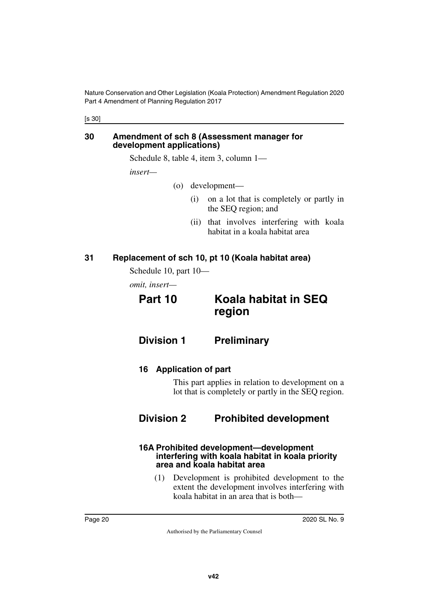[s 30]

#### <span id="page-19-1"></span><span id="page-19-0"></span>**30 Amendment of sch 8 (Assessment manager for development applications)**

Schedule 8, table 4, item 3, column 1—

*insert—*

- (o) development—
	- (i) on a lot that is completely or partly in the SEQ region; and
	- (ii) that involves interfering with koala habitat in a koala habitat area

#### <span id="page-19-2"></span>**31 Replacement of sch 10, pt 10 (Koala habitat area)**

<span id="page-19-3"></span>Schedule 10, part 10—

<span id="page-19-4"></span>*omit, insert—*

<span id="page-19-5"></span>

## **Part 10 Koala habitat in SEQ region**

<span id="page-19-6"></span>**Division 1 Preliminary**

<span id="page-19-9"></span><span id="page-19-8"></span>**16 Application of part**

<span id="page-19-11"></span><span id="page-19-7"></span>This part applies in relation to development on a lot that is completely or partly in the SEQ region.

## <span id="page-19-10"></span>**Division 2 Prohibited development**

#### <span id="page-19-13"></span><span id="page-19-12"></span>**16A Prohibited development—development interfering with koala habitat in koala priority area and koala habitat area**

(1) Development is prohibited development to the extent the development involves interfering with koala habitat in an area that is both—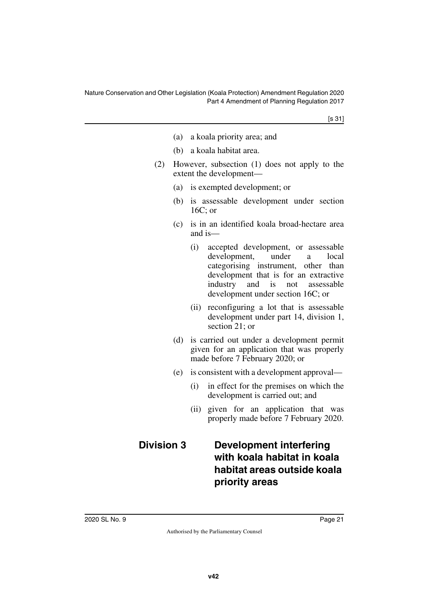[s 31]

- (a) a koala priority area; and
- (b) a koala habitat area.
- (2) However, subsection (1) does not apply to the extent the development—
	- (a) is exempted development; or
	- (b) is assessable development under section 16C; or
	- (c) is in an identified koala broad-hectare area and is—
		- (i) accepted development, or assessable development, under a local categorising instrument, other than development that is for an extractive industry and is not assessable development under section 16C; or
		- (ii) reconfiguring a lot that is assessable development under part 14, division 1, section 21; or
	- (d) is carried out under a development permit given for an application that was properly made before 7 February 2020; or
	- (e) is consistent with a development approval—
		- (i) in effect for the premises on which the development is carried out; and
		- (ii) given for an application that was properly made before 7 February 2020.

## <span id="page-20-1"></span><span id="page-20-0"></span>**Division 3 Development interfering with koala habitat in koala habitat areas outside koala priority areas**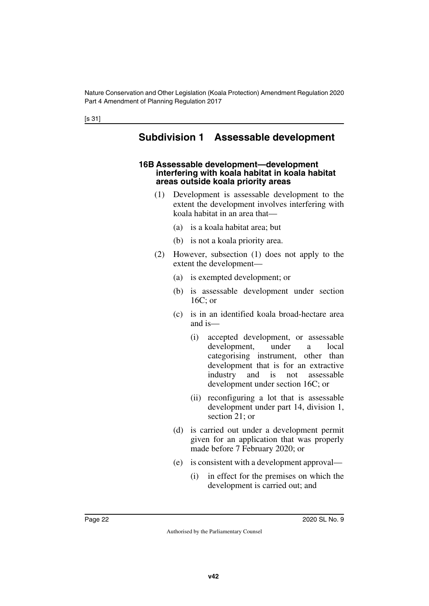[s 31]

## <span id="page-21-1"></span><span id="page-21-0"></span>**Subdivision 1 Assessable development**

#### <span id="page-21-3"></span><span id="page-21-2"></span>**16B Assessable development—development interfering with koala habitat in koala habitat areas outside koala priority areas**

- (1) Development is assessable development to the extent the development involves interfering with koala habitat in an area that—
	- (a) is a koala habitat area; but
	- (b) is not a koala priority area.
- (2) However, subsection (1) does not apply to the extent the development—
	- (a) is exempted development; or
	- (b) is assessable development under section 16C; or
	- (c) is in an identified koala broad-hectare area and is—
		- (i) accepted development, or assessable development, under a local categorising instrument, other than development that is for an extractive industry and is not assessable development under section 16C; or
		- (ii) reconfiguring a lot that is assessable development under part 14, division 1, section 21; or
	- (d) is carried out under a development permit given for an application that was properly made before 7 February 2020; or
	- (e) is consistent with a development approval—
		- (i) in effect for the premises on which the development is carried out; and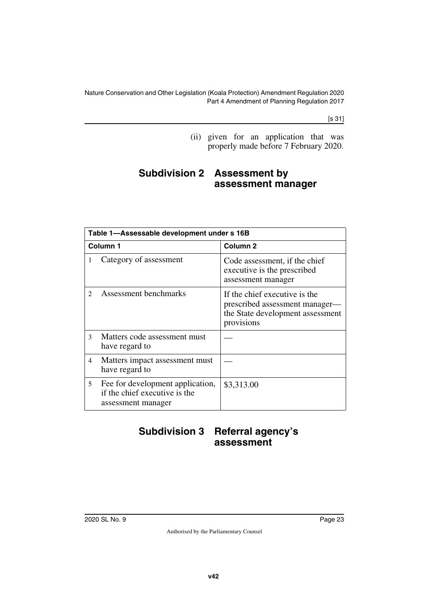[s 31]

<span id="page-22-1"></span>(ii) given for an application that was properly made before 7 February 2020.

## <span id="page-22-0"></span>**Subdivision 2 Assessment by assessment manager**

|                             | Table 1-Assessable development under s 16B                                              |                                                                                                                   |  |  |
|-----------------------------|-----------------------------------------------------------------------------------------|-------------------------------------------------------------------------------------------------------------------|--|--|
|                             | Column <sub>1</sub>                                                                     | Column <sub>2</sub>                                                                                               |  |  |
| 1                           | Category of assessment                                                                  | Code assessment, if the chief<br>executive is the prescribed<br>assessment manager                                |  |  |
| $\mathcal{D}_{\mathcal{L}}$ | Assessment benchmarks                                                                   | If the chief executive is the<br>prescribed assessment manager—<br>the State development assessment<br>provisions |  |  |
| $\mathcal{L}$               | Matters code assessment must<br>have regard to                                          |                                                                                                                   |  |  |
| 4                           | Matters impact assessment must<br>have regard to                                        |                                                                                                                   |  |  |
| 5                           | Fee for development application,<br>if the chief executive is the<br>assessment manager | \$3,313.00                                                                                                        |  |  |

## <span id="page-22-3"></span><span id="page-22-2"></span>**Subdivision 3 Referral agency's assessment**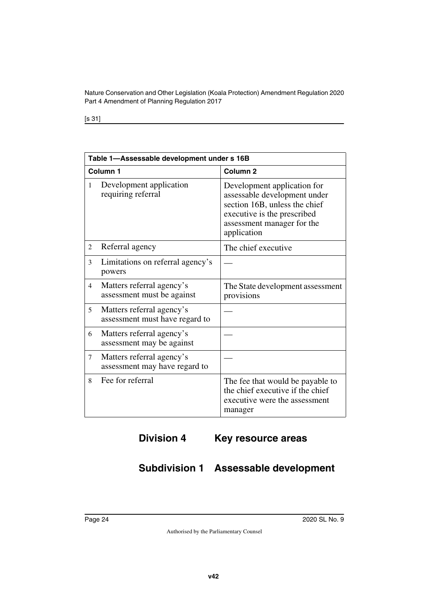[s 31]

|                | Table 1-Assessable development under s 16B                  |                                                                                                                                                                          |  |  |
|----------------|-------------------------------------------------------------|--------------------------------------------------------------------------------------------------------------------------------------------------------------------------|--|--|
|                | Column 1                                                    | Column <sub>2</sub>                                                                                                                                                      |  |  |
| 1              | Development application<br>requiring referral               | Development application for<br>assessable development under<br>section 16B, unless the chief<br>executive is the prescribed<br>assessment manager for the<br>application |  |  |
| 2              | Referral agency                                             | The chief executive                                                                                                                                                      |  |  |
| 3              | Limitations on referral agency's<br>powers                  |                                                                                                                                                                          |  |  |
| $\overline{4}$ | Matters referral agency's<br>assessment must be against     | The State development assessment<br>provisions                                                                                                                           |  |  |
| 5              | Matters referral agency's<br>assessment must have regard to |                                                                                                                                                                          |  |  |
| 6              | Matters referral agency's<br>assessment may be against      |                                                                                                                                                                          |  |  |
| 7              | Matters referral agency's<br>assessment may have regard to  |                                                                                                                                                                          |  |  |
| 8              | Fee for referral                                            | The fee that would be payable to<br>the chief executive if the chief<br>executive were the assessment<br>manager                                                         |  |  |

## <span id="page-23-1"></span><span id="page-23-0"></span>**Division 4 Key resource areas**

## <span id="page-23-3"></span><span id="page-23-2"></span>**Subdivision 1 Assessable development**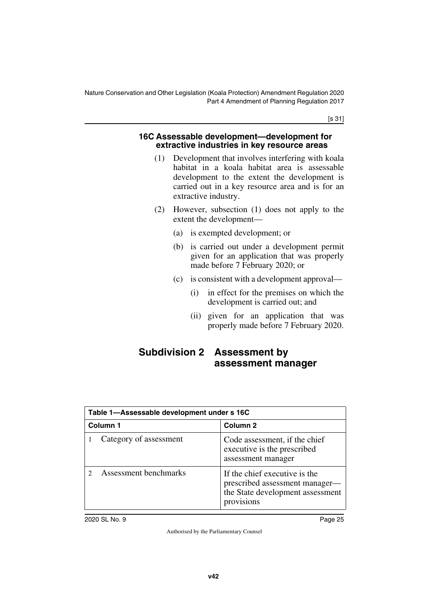[s 31]

#### <span id="page-24-1"></span><span id="page-24-0"></span>**16C Assessable development—development for extractive industries in key resource areas**

- (1) Development that involves interfering with koala habitat in a koala habitat area is assessable development to the extent the development is carried out in a key resource area and is for an extractive industry.
- (2) However, subsection (1) does not apply to the extent the development—
	- (a) is exempted development; or
	- (b) is carried out under a development permit given for an application that was properly made before 7 February 2020; or
	- (c) is consistent with a development approval—
		- (i) in effect for the premises on which the development is carried out; and
		- (ii) given for an application that was properly made before 7 February 2020.

## <span id="page-24-3"></span><span id="page-24-2"></span>**Subdivision 2 Assessment by assessment manager**

| Table 1-Assessable development under s 16C |                                                                                                                   |  |
|--------------------------------------------|-------------------------------------------------------------------------------------------------------------------|--|
| Column 1                                   | Column <sub>2</sub>                                                                                               |  |
| Category of assessment                     | Code assessment, if the chief<br>executive is the prescribed<br>assessment manager                                |  |
| Assessment benchmarks                      | If the chief executive is the<br>prescribed assessment manager-<br>the State development assessment<br>provisions |  |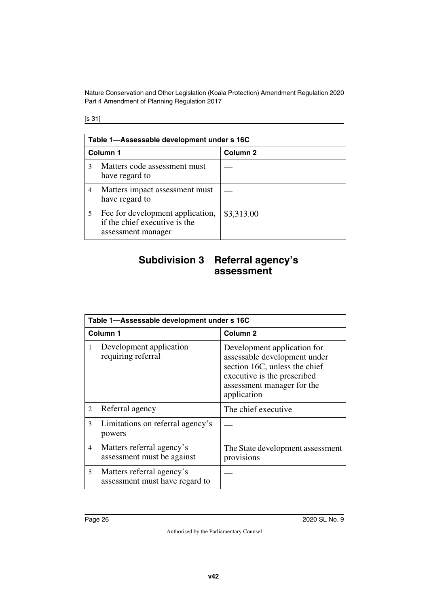[s 31]

|   | Table 1-Assessable development under s 16C                                              |                     |  |  |
|---|-----------------------------------------------------------------------------------------|---------------------|--|--|
|   | Column <sub>1</sub>                                                                     | Column <sub>2</sub> |  |  |
| 3 | Matters code assessment must<br>have regard to                                          |                     |  |  |
| 4 | Matters impact assessment must<br>have regard to                                        |                     |  |  |
| 5 | Fee for development application,<br>if the chief executive is the<br>assessment manager | \$3,313.00          |  |  |

## <span id="page-25-1"></span><span id="page-25-0"></span>**Subdivision 3 Referral agency's assessment**

|   | Table 1-Assessable development under s 16C                  |                                                                                                                                                                          |  |  |
|---|-------------------------------------------------------------|--------------------------------------------------------------------------------------------------------------------------------------------------------------------------|--|--|
|   | Column <sub>1</sub>                                         | Column <sub>2</sub>                                                                                                                                                      |  |  |
| 1 | Development application<br>requiring referral               | Development application for<br>assessable development under<br>section 16C, unless the chief<br>executive is the prescribed<br>assessment manager for the<br>application |  |  |
| 2 | Referral agency                                             | The chief executive                                                                                                                                                      |  |  |
| 3 | Limitations on referral agency's<br>powers                  |                                                                                                                                                                          |  |  |
| 4 | Matters referral agency's<br>assessment must be against     | The State development assessment<br>provisions                                                                                                                           |  |  |
| 5 | Matters referral agency's<br>assessment must have regard to |                                                                                                                                                                          |  |  |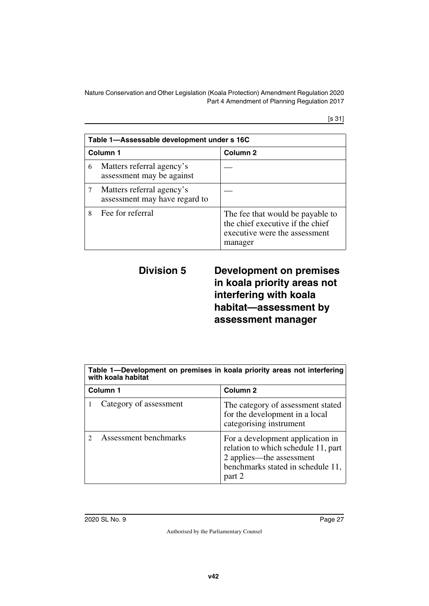[s 31]

|   | Table 1-Assessable development under s 16C                 |                                                                                                                  |  |
|---|------------------------------------------------------------|------------------------------------------------------------------------------------------------------------------|--|
|   | Column <sub>1</sub>                                        | Column <sub>2</sub>                                                                                              |  |
| 6 | Matters referral agency's<br>assessment may be against     |                                                                                                                  |  |
| 7 | Matters referral agency's<br>assessment may have regard to |                                                                                                                  |  |
| 8 | Fee for referral                                           | The fee that would be payable to<br>the chief executive if the chief<br>executive were the assessment<br>manager |  |

## <span id="page-26-1"></span><span id="page-26-0"></span>**Division 5 Development on premises in koala priority areas not interfering with koala habitat—assessment by assessment manager**

| Table 1-Development on premises in koala priority areas not interfering<br>with koala habitat |                                                                                                                                                    |  |
|-----------------------------------------------------------------------------------------------|----------------------------------------------------------------------------------------------------------------------------------------------------|--|
| Column <sub>1</sub>                                                                           | Column <sub>2</sub>                                                                                                                                |  |
| Category of assessment                                                                        | The category of assessment stated<br>for the development in a local<br>categorising instrument                                                     |  |
| Assessment benchmarks                                                                         | For a development application in<br>relation to which schedule 11, part<br>2 applies—the assessment<br>benchmarks stated in schedule 11,<br>part 2 |  |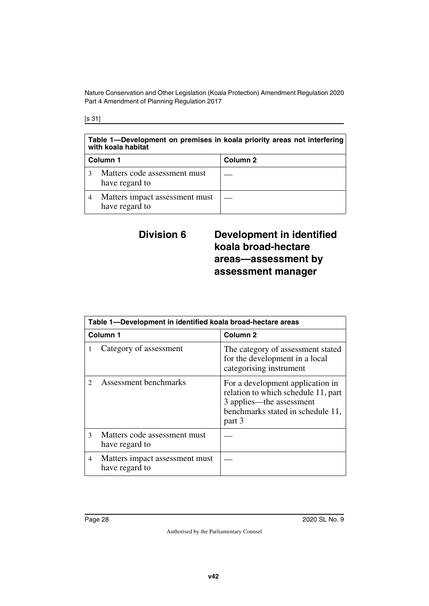[s 31]

#### **Table 1—Development on premises in koala priority areas not interfering with koala habitat**

| Column 1                                         | Column 2 |
|--------------------------------------------------|----------|
| Matters code assessment must<br>have regard to   |          |
| Matters impact assessment must<br>have regard to |          |

## <span id="page-27-1"></span><span id="page-27-0"></span>**Division 6 Development in identified koala broad-hectare areas—assessment by assessment manager**

| Table 1-Development in identified koala broad-hectare areas |                                                  |                                                                                                                                                    |  |
|-------------------------------------------------------------|--------------------------------------------------|----------------------------------------------------------------------------------------------------------------------------------------------------|--|
| Column 1                                                    |                                                  | Column <sub>2</sub>                                                                                                                                |  |
|                                                             | Category of assessment                           | The category of assessment stated<br>for the development in a local<br>categorising instrument                                                     |  |
|                                                             | <b>Assessment benchmarks</b>                     | For a development application in<br>relation to which schedule 11, part<br>3 applies—the assessment<br>benchmarks stated in schedule 11,<br>part 3 |  |
| $\mathcal{F}$                                               | Matters code assessment must<br>have regard to   |                                                                                                                                                    |  |
| 4                                                           | Matters impact assessment must<br>have regard to |                                                                                                                                                    |  |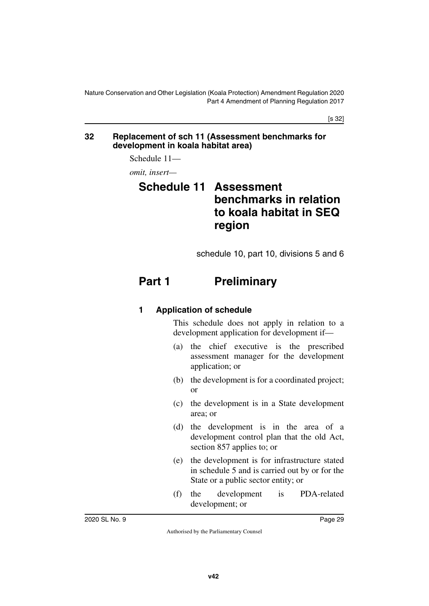[s 32]

#### <span id="page-28-1"></span><span id="page-28-0"></span>**32 Replacement of sch 11 (Assessment benchmarks for development in koala habitat area)**

Schedule 11—

<span id="page-28-2"></span>*omit, insert—*

# <span id="page-28-3"></span>**Schedule 11 Assessment benchmarks in relation to koala habitat in SEQ region**

<span id="page-28-5"></span>schedule 10, part 10, divisions 5 and 6

# <span id="page-28-4"></span>**Part 1** Preliminary

#### <span id="page-28-7"></span><span id="page-28-6"></span>**1 Application of schedule**

This schedule does not apply in relation to a development application for development if—

- (a) the chief executive is the prescribed assessment manager for the development application; or
- (b) the development is for a coordinated project; or
- (c) the development is in a State development area; or
- (d) the development is in the area of a development control plan that the old Act, section 857 applies to; or
- (e) the development is for infrastructure stated in schedule 5 and is carried out by or for the State or a public sector entity; or
- (f) the development is PDA-related development; or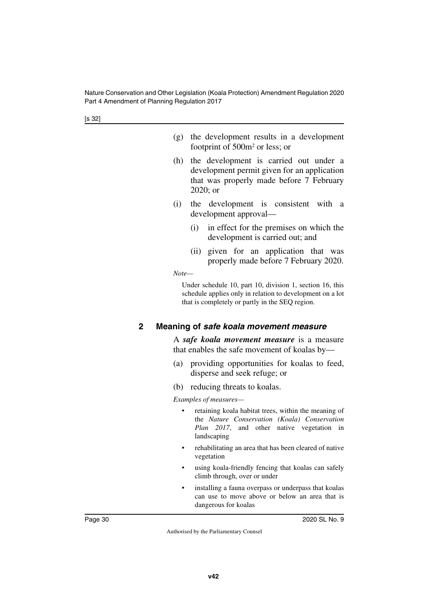- (g) the development results in a development footprint of 500m2 or less; or
- (h) the development is carried out under a development permit given for an application that was properly made before 7 February 2020; or
- (i) the development is consistent with a development approval—
	- (i) in effect for the premises on which the development is carried out; and
	- (ii) given for an application that was properly made before 7 February 2020.

*Note—*

Under schedule 10, part 10, division 1, section 16, this schedule applies only in relation to development on a lot that is completely or partly in the SEQ region.

#### <span id="page-29-1"></span><span id="page-29-0"></span>**2 Meaning of** *safe koala movement measure*

A *safe koala movement measure* is a measure that enables the safe movement of koalas by—

- (a) providing opportunities for koalas to feed, disperse and seek refuge; or
- (b) reducing threats to koalas.

*Examples of measures—*

- retaining koala habitat trees, within the meaning of the *Nature Conservation (Koala) Conservation Plan 2017*, and other native vegetation in landscaping
- rehabilitating an area that has been cleared of native vegetation
- using koala-friendly fencing that koalas can safely climb through, over or under
- installing a fauna overpass or underpass that koalas can use to move above or below an area that is dangerous for koalas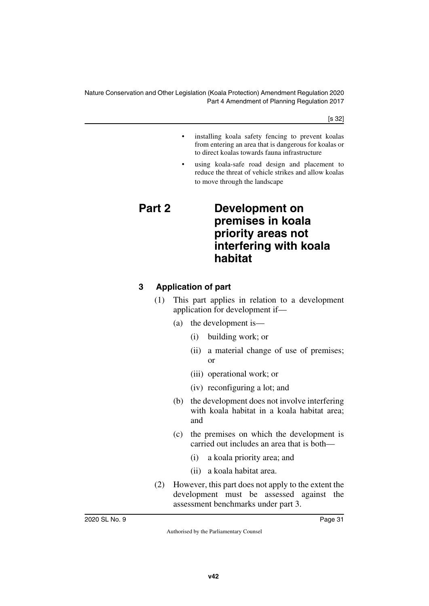[s 32]

- installing koala safety fencing to prevent koalas from entering an area that is dangerous for koalas or to direct koalas towards fauna infrastructure
- <span id="page-30-1"></span>using koala-safe road design and placement to reduce the threat of vehicle strikes and allow koalas to move through the landscape

## <span id="page-30-0"></span>**Part 2 Development on premises in koala priority areas not interfering with koala habitat**

#### <span id="page-30-3"></span><span id="page-30-2"></span>**3 Application of part**

- (1) This part applies in relation to a development application for development if—
	- (a) the development is—
		- (i) building work; or
		- (ii) a material change of use of premises; or
		- (iii) operational work; or
		- (iv) reconfiguring a lot; and
	- (b) the development does not involve interfering with koala habitat in a koala habitat area; and
	- (c) the premises on which the development is carried out includes an area that is both—
		- (i) a koala priority area; and
		- (ii) a koala habitat area.
- (2) However, this part does not apply to the extent the development must be assessed against the assessment benchmarks under part 3.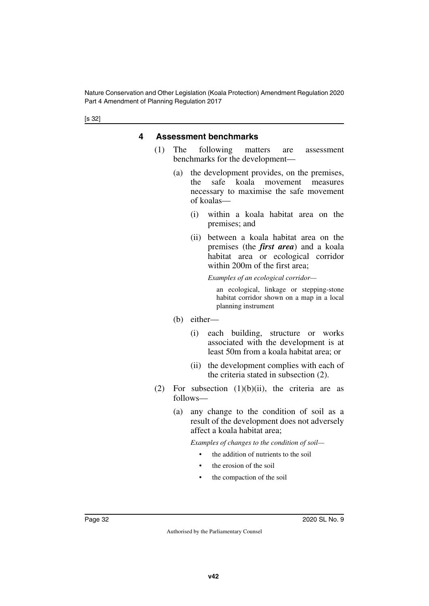#### <span id="page-31-1"></span><span id="page-31-0"></span>**4 Assessment benchmarks**

- (1) The following matters are assessment benchmarks for the development—
	- (a) the development provides, on the premises, the safe koala movement measures necessary to maximise the safe movement of koalas—
		- (i) within a koala habitat area on the premises; and
		- (ii) between a koala habitat area on the premises (the *first area*) and a koala habitat area or ecological corridor within 200m of the first area;

*Examples of an ecological corridor—*

an ecological, linkage or stepping-stone habitat corridor shown on a map in a local planning instrument

- (b) either—
	- (i) each building, structure or works associated with the development is at least 50m from a koala habitat area; or
	- (ii) the development complies with each of the criteria stated in subsection (2).
- (2) For subsection  $(1)(b)(ii)$ , the criteria are as follows—
	- (a) any change to the condition of soil as a result of the development does not adversely affect a koala habitat area;

*Examples of changes to the condition of soil—*

- the addition of nutrients to the soil
- the erosion of the soil
- the compaction of the soil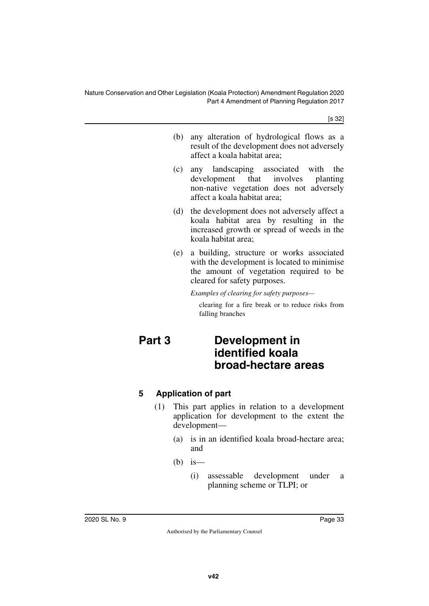[s 32]

- (b) any alteration of hydrological flows as a result of the development does not adversely affect a koala habitat area;
- (c) any landscaping associated with the development that involves planting non-native vegetation does not adversely affect a koala habitat area;
- (d) the development does not adversely affect a koala habitat area by resulting in the increased growth or spread of weeds in the koala habitat area;
- (e) a building, structure or works associated with the development is located to minimise the amount of vegetation required to be cleared for safety purposes.

*Examples of clearing for safety purposes—*

<span id="page-32-1"></span>clearing for a fire break or to reduce risks from falling branches

## <span id="page-32-0"></span>**Part 3 Development in identified koala broad-hectare areas**

## <span id="page-32-3"></span><span id="page-32-2"></span>**5 Application of part**

- (1) This part applies in relation to a development application for development to the extent the development—
	- (a) is in an identified koala broad-hectare area; and
	- $(b)$  is
		- (i) assessable development under a planning scheme or TLPI; or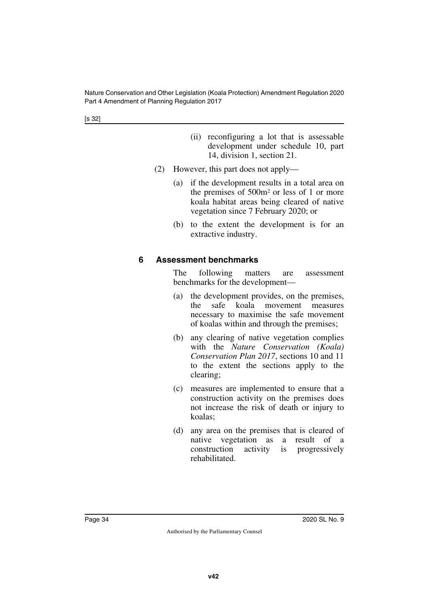[s 32]

- (ii) reconfiguring a lot that is assessable development under schedule 10, part 14, division 1, section 21.
- (2) However, this part does not apply—
	- (a) if the development results in a total area on the premises of 500m2 or less of 1 or more koala habitat areas being cleared of native vegetation since 7 February 2020; or
	- (b) to the extent the development is for an extractive industry.

#### <span id="page-33-1"></span><span id="page-33-0"></span>**6 Assessment benchmarks**

The following matters are assessment benchmarks for the development—

- (a) the development provides, on the premises, the safe koala movement measures necessary to maximise the safe movement of koalas within and through the premises;
- (b) any clearing of native vegetation complies with the *Nature Conservation (Koala) Conservation Plan 2017*, sections 10 and 11 to the extent the sections apply to the clearing;
- (c) measures are implemented to ensure that a construction activity on the premises does not increase the risk of death or injury to koalas;
- (d) any area on the premises that is cleared of native vegetation as a result of a construction activity is progressively rehabilitated.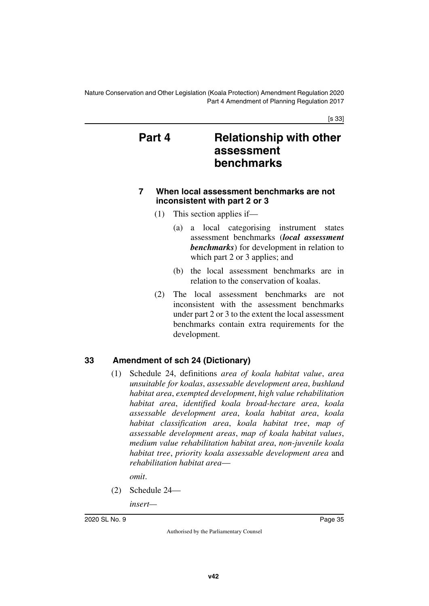[s 33]

## <span id="page-34-1"></span><span id="page-34-0"></span>**Part 4 Relationship with other assessment benchmarks**

#### <span id="page-34-3"></span><span id="page-34-2"></span>**7 When local assessment benchmarks are not inconsistent with part 2 or 3**

- (1) This section applies if—
	- (a) a local categorising instrument states assessment benchmarks (*local assessment benchmarks*) for development in relation to which part 2 or 3 applies; and
	- (b) the local assessment benchmarks are in relation to the conservation of koalas.
- (2) The local assessment benchmarks are not inconsistent with the assessment benchmarks under part 2 or 3 to the extent the local assessment benchmarks contain extra requirements for the development.

#### <span id="page-34-4"></span>**33 Amendment of sch 24 (Dictionary)**

<span id="page-34-5"></span>(1) Schedule 24, definitions *area of koala habitat value*, *area unsuitable for koalas*, *assessable development area*, *bushland habitat area*, *exempted development*, *high value rehabilitation habitat area*, *identified koala broad-hectare area*, *koala assessable development area*, *koala habitat area*, *koala habitat classification area*, *koala habitat tree*, *map of assessable development areas*, *map of koala habitat values*, *medium value rehabilitation habitat area*, *non-juvenile koala habitat tree*, *priority koala assessable development area* and *rehabilitation habitat area*—

*omit*.

- (2) Schedule 24
	- *insert—*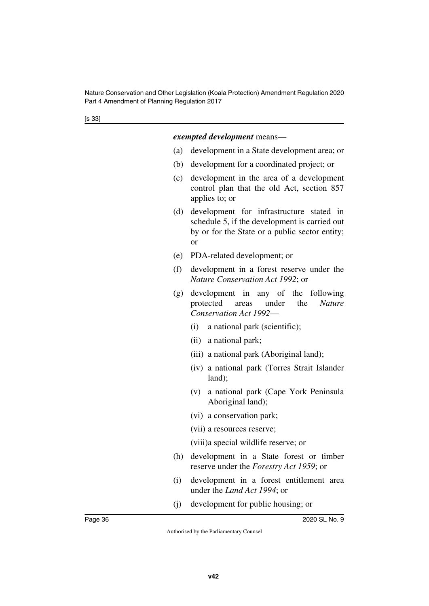#### *exempted development* means—

- (a) development in a State development area; or
- (b) development for a coordinated project; or
- (c) development in the area of a development control plan that the old Act, section 857 applies to; or
- (d) development for infrastructure stated in schedule 5, if the development is carried out by or for the State or a public sector entity; or
- (e) PDA-related development; or
- (f) development in a forest reserve under the *Nature Conservation Act 1992*; or
- (g) development in any of the following protected areas under the *Nature Conservation Act 1992*—
	- (i) a national park (scientific);
	- (ii) a national park;
	- (iii) a national park (Aboriginal land);
	- (iv) a national park (Torres Strait Islander land);
	- (v) a national park (Cape York Peninsula Aboriginal land);
	- (vi) a conservation park;
	- (vii) a resources reserve;
	- (viii)a special wildlife reserve; or
- (h) development in a State forest or timber reserve under the *Forestry Act 1959*; or
- (i) development in a forest entitlement area under the *Land Act 1994*; or
- (j) development for public housing; or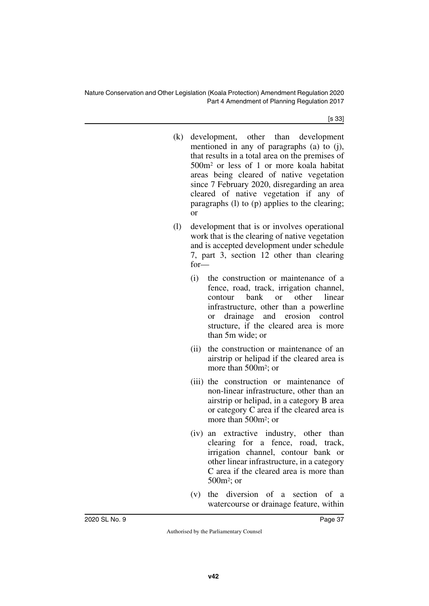[s 33]

- (k) development, other than development mentioned in any of paragraphs (a) to (j), that results in a total area on the premises of 500m2 or less of 1 or more koala habitat areas being cleared of native vegetation since 7 February 2020, disregarding an area cleared of native vegetation if any of paragraphs (l) to (p) applies to the clearing; or
- (l) development that is or involves operational work that is the clearing of native vegetation and is accepted development under schedule 7, part 3, section 12 other than clearing for—
	- (i) the construction or maintenance of a fence, road, track, irrigation channel, contour bank or other linear infrastructure, other than a powerline or drainage and erosion control structure, if the cleared area is more than 5m wide; or
	- (ii) the construction or maintenance of an airstrip or helipad if the cleared area is more than 500m2; or
	- (iii) the construction or maintenance of non-linear infrastructure, other than an airstrip or helipad, in a category B area or category C area if the cleared area is more than 500m2; or
	- (iv) an extractive industry, other than clearing for a fence, road, track, irrigation channel, contour bank or other linear infrastructure, in a category C area if the cleared area is more than 500m2; or
	- (v) the diversion of a section of a watercourse or drainage feature, within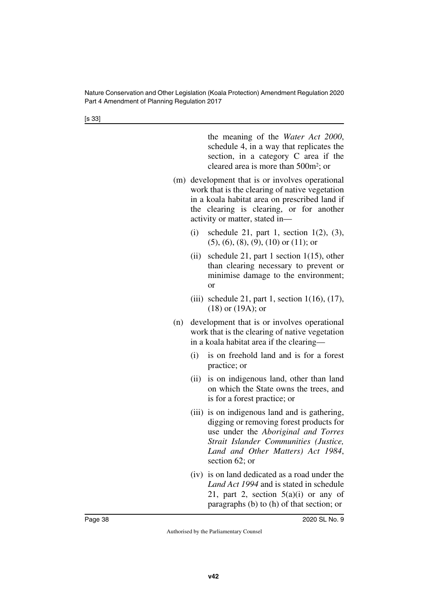[s 33]

the meaning of the *Water Act 2000*, schedule 4, in a way that replicates the section, in a category C area if the cleared area is more than 500m2; or

- (m) development that is or involves operational work that is the clearing of native vegetation in a koala habitat area on prescribed land if the clearing is clearing, or for another activity or matter, stated in—
	- (i) schedule 21, part 1, section  $1(2)$ ,  $(3)$ ,  $(5)$ ,  $(6)$ ,  $(8)$ ,  $(9)$ ,  $(10)$  or  $(11)$ ; or
	- (ii) schedule 21, part 1 section 1(15), other than clearing necessary to prevent or minimise damage to the environment; or
	- (iii) schedule 21, part 1, section  $1(16)$ ,  $(17)$ , (18) or (19A); or
- (n) development that is or involves operational work that is the clearing of native vegetation in a koala habitat area if the clearing—
	- (i) is on freehold land and is for a forest practice; or
	- (ii) is on indigenous land, other than land on which the State owns the trees, and is for a forest practice; or
	- (iii) is on indigenous land and is gathering, digging or removing forest products for use under the *Aboriginal and Torres Strait Islander Communities (Justice, Land and Other Matters) Act 1984*, section 62; or
	- (iv) is on land dedicated as a road under the *Land Act 1994* and is stated in schedule 21, part 2, section  $5(a)(i)$  or any of paragraphs (b) to (h) of that section; or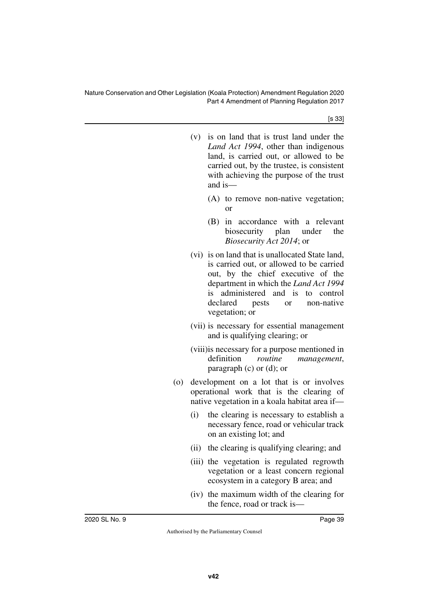[s 33]

|     |      | (v) is on land that is trust land under the<br>Land Act 1994, other than indigenous<br>land, is carried out, or allowed to be<br>carried out, by the trustee, is consistent<br>with achieving the purpose of the trust<br>and is-                                       |
|-----|------|-------------------------------------------------------------------------------------------------------------------------------------------------------------------------------------------------------------------------------------------------------------------------|
|     |      | (A) to remove non-native vegetation;<br>or                                                                                                                                                                                                                              |
|     |      | in accordance with a relevant<br>(B)<br>biosecurity plan under the<br><i>Biosecurity Act 2014</i> ; or                                                                                                                                                                  |
|     |      | (vi) is on land that is unallocated State land,<br>is carried out, or allowed to be carried<br>out, by the chief executive of the<br>department in which the Land Act 1994<br>is administered and is to control<br>or non-native<br>declared<br>pests<br>vegetation; or |
|     |      | (vii) is necessary for essential management<br>and is qualifying clearing; or                                                                                                                                                                                           |
|     |      | (viii) is necessary for a purpose mentioned in<br>definition routine management,<br>paragraph $(c)$ or $(d)$ ; or                                                                                                                                                       |
| (0) |      | development on a lot that is or involves<br>operational work that is the clearing of<br>native vegetation in a koala habitat area if-                                                                                                                                   |
|     | (i)  | the clearing is necessary to establish a<br>necessary fence, road or vehicular track<br>on an existing lot; and                                                                                                                                                         |
|     | (ii) | the clearing is qualifying clearing; and                                                                                                                                                                                                                                |
|     |      | (iii) the vegetation is regulated regrowth<br>vegetation or a least concern regional<br>ecosystem in a category B area; and                                                                                                                                             |
|     |      | (iv) the maximum width of the clearing for<br>the fence, road or track is—                                                                                                                                                                                              |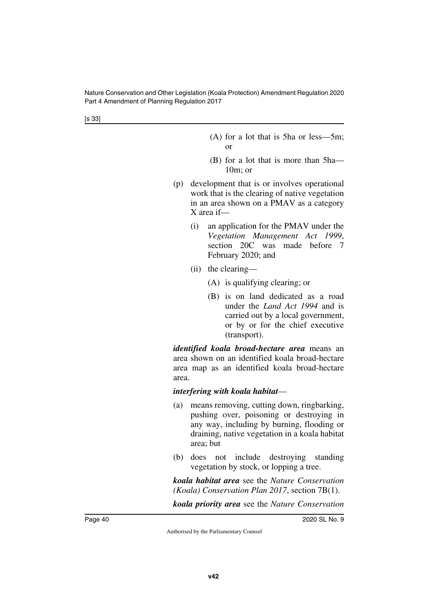[s 33]

- (A) for a lot that is 5ha or less—5m; or
- (B) for a lot that is more than 5ha— 10m; or
- (p) development that is or involves operational work that is the clearing of native vegetation in an area shown on a PMAV as a category X area if—
	- (i) an application for the PMAV under the *Vegetation Management Act 1999*, section 20C was made before 7 February 2020; and
	- (ii) the clearing—
		- (A) is qualifying clearing; or
		- (B) is on land dedicated as a road under the *Land Act 1994* and is carried out by a local government, or by or for the chief executive (transport).

*identified koala broad-hectare area* means an area shown on an identified koala broad-hectare area map as an identified koala broad-hectare area.

#### *interfering with koala habitat*—

- (a) means removing, cutting down, ringbarking, pushing over, poisoning or destroying in any way, including by burning, flooding or draining, native vegetation in a koala habitat area; but
- (b) does not include destroying standing vegetation by stock, or lopping a tree.

*koala habitat area* see the *Nature Conservation (Koala) Conservation Plan 2017*, section 7B(1).

*koala priority area* see the *Nature Conservation*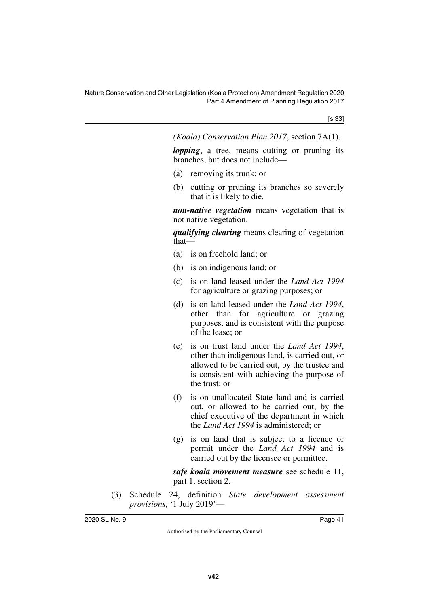*(Koala) Conservation Plan 2017*, section 7A(1).

*lopping*, a tree, means cutting or pruning its branches, but does not include—

- (a) removing its trunk; or
- (b) cutting or pruning its branches so severely that it is likely to die.

*non-native vegetation* means vegetation that is not native vegetation.

*qualifying clearing* means clearing of vegetation that—

- (a) is on freehold land; or
- (b) is on indigenous land; or
- (c) is on land leased under the *Land Act 1994* for agriculture or grazing purposes; or
- (d) is on land leased under the *Land Act 1994*, other than for agriculture or grazing purposes, and is consistent with the purpose of the lease; or
- (e) is on trust land under the *Land Act 1994*, other than indigenous land, is carried out, or allowed to be carried out, by the trustee and is consistent with achieving the purpose of the trust; or
- (f) is on unallocated State land and is carried out, or allowed to be carried out, by the chief executive of the department in which the *Land Act 1994* is administered; or
- (g) is on land that is subject to a licence or permit under the *Land Act 1994* and is carried out by the licensee or permittee.

*safe koala movement measure* see schedule 11, part 1, section 2.

(3) Schedule 24, definition *State development assessment provisions*, '1 July 2019'—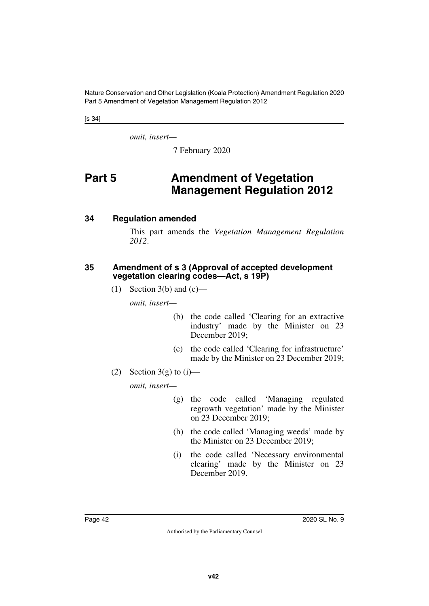[s 34]

*omit, insert—*

<span id="page-41-1"></span>7 February 2020

## <span id="page-41-0"></span>**Part 5** Amendment of Vegetation **Management Regulation 2012**

#### <span id="page-41-2"></span>**34 Regulation amended**

<span id="page-41-3"></span>This part amends the *Vegetation Management Regulation 2012*.

#### <span id="page-41-5"></span><span id="page-41-4"></span>**35 Amendment of s 3 (Approval of accepted development vegetation clearing codes—Act, s 19P)**

(1) Section 3(b) and  $(c)$ —

*omit, insert—*

- (b) the code called 'Clearing for an extractive industry' made by the Minister on 23 December 2019;
- (c) the code called 'Clearing for infrastructure' made by the Minister on 23 December 2019;
- (2) Section 3(g) to  $(i)$ —

*omit, insert—*

- (g) the code called 'Managing regulated regrowth vegetation' made by the Minister on 23 December 2019;
- (h) the code called 'Managing weeds' made by the Minister on 23 December 2019;
- (i) the code called 'Necessary environmental clearing' made by the Minister on 23 December 2019.